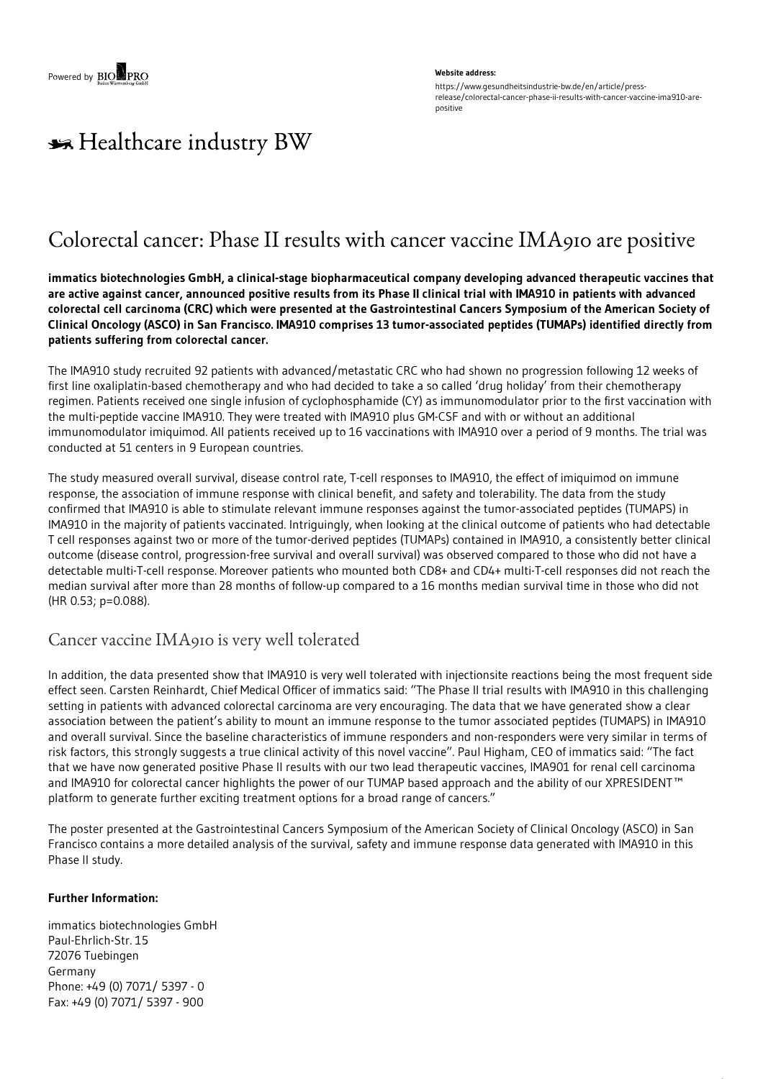#### **Website address:**

https://www.gesundheitsindustrie-bw.de/en/article/pressrelease/colorectal-cancer-phase-ii-results-with-cancer-vaccine-ima910-arepositive

# \*\* Healthcare industry BW

## Colorectal cancer: Phase II results with cancer vaccine IMA910 are positive

**immatics biotechnologies GmbH, a clinical-stage biopharmaceutical company developing advanced therapeutic vaccines that** are active against cancer, announced positive results from its Phase II clinical trial with IMA910 in patients with advanced colorectal cell carcinoma (CRC) which were presented at the Gastrointestinal Cancers Symposium of the American Society of Clinical Oncology (ASCO) in San Francisco. IMA910 comprises 13 tumor-associated peptides (TUMAPs) identified directly from **patients suffering from colorectal cancer.**

The IMA910 study recruited 92 patients with advanced/metastatic CRC who had shown no progression following 12 weeks of first line oxaliplatin-based chemotherapy and who had decided to take a so called 'drug holiday' from their chemotherapy regimen. Patients received one single infusion of cyclophosphamide (CY) as immunomodulator prior to the first vaccination with the multi-peptide vaccine IMA910. They were treated with IMA910 plus GM-CSF and with or without an additional immunomodulator imiquimod. All patients received up to 16 vaccinations with IMA910 over a period of 9 months. The trial was conducted at 51 centers in 9 European countries.

The study measured overall survival, disease control rate, T-cell responses to IMA910, the effect of imiquimod on immune response, the association of immune response with clinical benefit, and safety and tolerability. The data from the study confirmed that IMA910 is able to stimulate relevant immune responses against the tumor-associated peptides (TUMAPS) in IMA910 in the majority of patients vaccinated. Intriguingly, when looking at the clinical outcome of patients who had detectable T cell responses against two or more of the tumor-derived peptides (TUMAPs) contained in IMA910, a consistently better clinical outcome (disease control, progression-free survival and overall survival) was observed compared to those who did not have a detectable multi-T-cell response. Moreover patients who mounted both CD8+ and CD4+ multi-T-cell responses did not reach the median survival after more than 28 months of follow-up compared to a 16 months median survival time in those who did not (HR 0.53; p=0.088).

### Cancer vaccine IMA910 is very well tolerated

In addition, the data presented show that IMA910 is very well tolerated with injectionsite reactions being the most frequent side effect seen. Carsten Reinhardt, Chief Medical Officer of immatics said: "The Phase II trial results with IMA910 in this challenging setting in patients with advanced colorectal carcinoma are very encouraging. The data that we have generated show a clear association between the patient's ability to mount an immune response to the tumor associated peptides (TUMAPS) in IMA910 and overall survival. Since the baseline characteristics of immune responders and non-responders were very similar in terms of risk factors, this strongly suggests a true clinical activity of this novel vaccine". Paul Higham, CEO of immatics said: "The fact that we have now generated positive Phase II results with our two lead therapeutic vaccines, IMA901 for renal cell carcinoma and IMA910 for colorectal cancer highlights the power of our TUMAP based approach and the ability of our XPRESIDENT™ platform to generate further exciting treatment options for a broad range of cancers."

The poster presented at the Gastrointestinal Cancers Symposium of the American Society of Clinical Oncology (ASCO) in San Francisco contains a more detailed analysis of the survival, safety and immune response data generated with IMA910 in this Phase II study.

### **Further Information:**

immatics biotechnologies GmbH Paul-Ehrlich-Str. 15 72076 Tuebingen Germany Phone: +49 (0) 7071/ 5397 - 0 Fax: +49 (0) 7071/ 5397 - 900